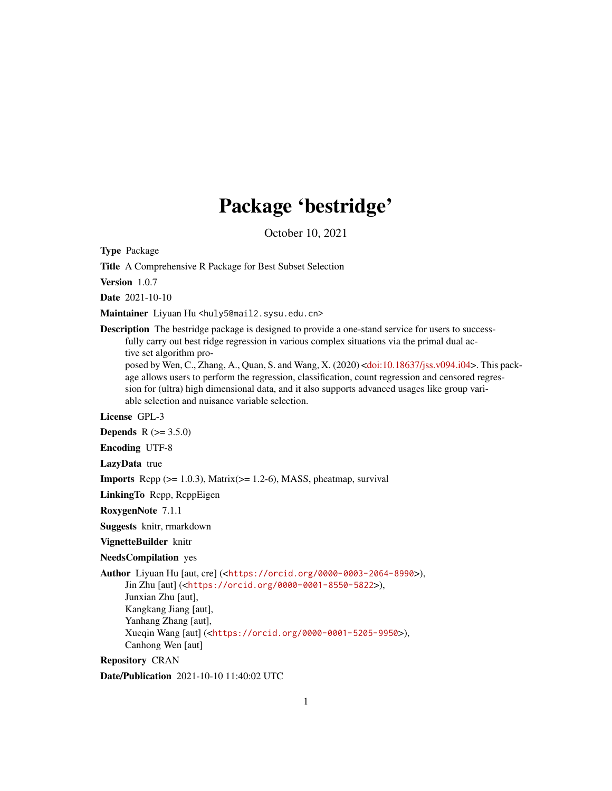## Package 'bestridge'

October 10, 2021

Type Package

Title A Comprehensive R Package for Best Subset Selection

Version 1.0.7

Date 2021-10-10

Maintainer Liyuan Hu <huly5@mail2.sysu.edu.cn>

Description The bestridge package is designed to provide a one-stand service for users to successfully carry out best ridge regression in various complex situations via the primal dual active set algorithm pro-

posed by Wen, C., Zhang, A., Quan, S. and Wang, X. (2020) [<doi:10.18637/jss.v094.i04>](https://doi.org/10.18637/jss.v094.i04). This package allows users to perform the regression, classification, count regression and censored regression for (ultra) high dimensional data, and it also supports advanced usages like group variable selection and nuisance variable selection.

License GPL-3

**Depends**  $R (= 3.5.0)$ 

Encoding UTF-8

LazyData true

**Imports** Rcpp  $(>= 1.0.3)$ , Matrix $(>= 1.2-6)$ , MASS, pheatmap, survival

LinkingTo Rcpp, RcppEigen

RoxygenNote 7.1.1

Suggests knitr, rmarkdown

VignetteBuilder knitr

NeedsCompilation yes

Author Liyuan Hu [aut, cre] (<<https://orcid.org/0000-0003-2064-8990>>), Jin Zhu [aut] (<<https://orcid.org/0000-0001-8550-5822>>), Junxian Zhu [aut], Kangkang Jiang [aut], Yanhang Zhang [aut], Xueqin Wang [aut] (<<https://orcid.org/0000-0001-5205-9950>>), Canhong Wen [aut]

Repository CRAN

Date/Publication 2021-10-10 11:40:02 UTC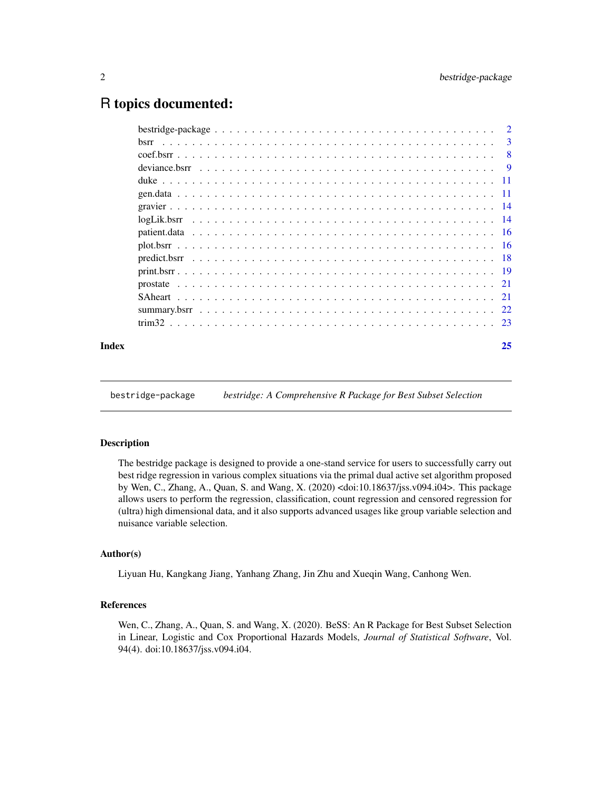### <span id="page-1-0"></span>R topics documented:

| Index | 25 |
|-------|----|
|       |    |
|       |    |
|       |    |
|       |    |
|       |    |
|       |    |
|       |    |
|       |    |
|       |    |
|       |    |
|       |    |
|       |    |
|       |    |
|       |    |
|       |    |
|       |    |

bestridge-package *bestridge: A Comprehensive R Package for Best Subset Selection*

#### Description

The bestridge package is designed to provide a one-stand service for users to successfully carry out best ridge regression in various complex situations via the primal dual active set algorithm proposed by Wen, C., Zhang, A., Quan, S. and Wang, X. (2020) <doi:10.18637/jss.v094.i04>. This package allows users to perform the regression, classification, count regression and censored regression for (ultra) high dimensional data, and it also supports advanced usages like group variable selection and nuisance variable selection.

#### Author(s)

Liyuan Hu, Kangkang Jiang, Yanhang Zhang, Jin Zhu and Xueqin Wang, Canhong Wen.

#### References

Wen, C., Zhang, A., Quan, S. and Wang, X. (2020). BeSS: An R Package for Best Subset Selection in Linear, Logistic and Cox Proportional Hazards Models, *Journal of Statistical Software*, Vol. 94(4). doi:10.18637/jss.v094.i04.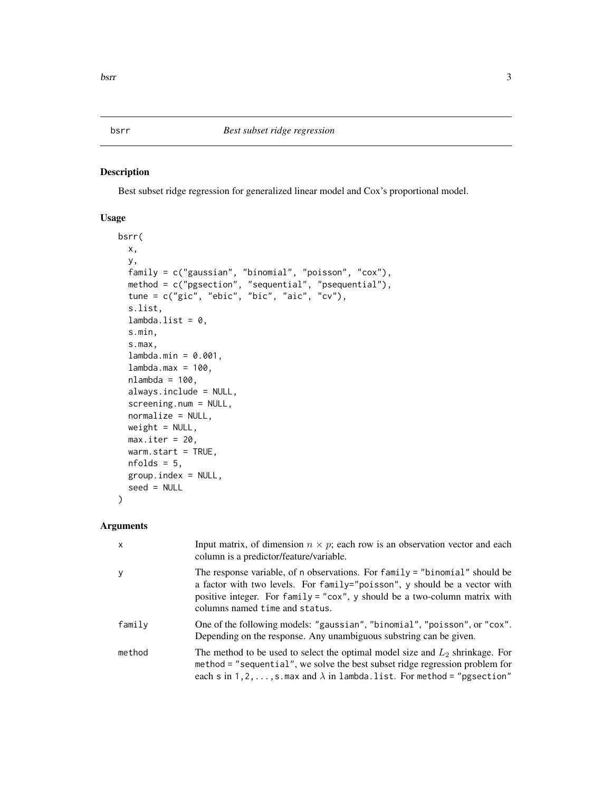<span id="page-2-1"></span><span id="page-2-0"></span>Best subset ridge regression for generalized linear model and Cox's proportional model.

#### Usage

```
bsrr(
 x,
 y,
  family = c("gaussian", "binomial", "poisson", "cox"),
  method = c("pgsection", "sequential", "psequential"),
  tune = c("gic", "ebic", "bic", "aic", "cv"),
  s.list,
  lambda.list = 0,s.min,
  s.max,
  lambda.min = 0.001,
  lambda.max = 100,nlambda = 100,
  always.include = NULL,
  screening.num = NULL,
  normalize = NULL,
 weight = NULL,max.iter = 20,
 warm.start = TRUE,
  nfolds = 5,
 group.index = NULL,
  seed = NULL
)
```
### Arguments

| $\times$ | Input matrix, of dimension $n \times p$ ; each row is an observation vector and each<br>column is a predictor/feature/variable.                                                                                                                                          |
|----------|--------------------------------------------------------------------------------------------------------------------------------------------------------------------------------------------------------------------------------------------------------------------------|
| У        | The response variable, of n observations. For family = "binomial" should be<br>a factor with two levels. For family="poisson", y should be a vector with<br>positive integer. For family = "cox", y should be a two-column matrix with<br>columns named time and status. |
| family   | One of the following models: "gaussian", "binomial", "poisson", or "cox".<br>Depending on the response. Any unambiguous substring can be given.                                                                                                                          |
| method   | The method to be used to select the optimal model size and $L_2$ shrinkage. For<br>method = "sequential", we solve the best subset ridge regression problem for<br>each s in 1, 2, , s. max and $\lambda$ in lambda. list. For method = "pgsection"                      |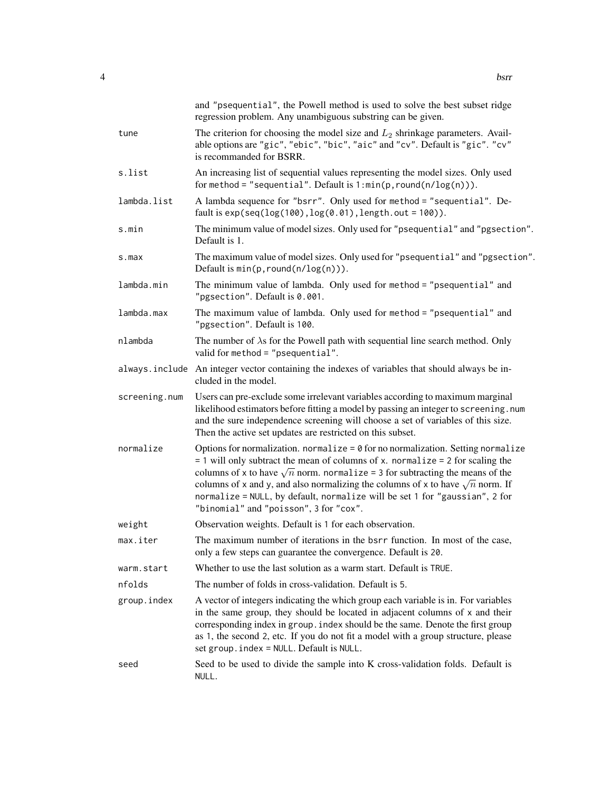|               | and "psequential", the Powell method is used to solve the best subset ridge<br>regression problem. Any unambiguous substring can be given.                                                                                                                                                                                                                                                                                                                                              |
|---------------|-----------------------------------------------------------------------------------------------------------------------------------------------------------------------------------------------------------------------------------------------------------------------------------------------------------------------------------------------------------------------------------------------------------------------------------------------------------------------------------------|
| tune          | The criterion for choosing the model size and $L_2$ shrinkage parameters. Avail-<br>able options are "gic", "ebic", "bic", "aic" and "cv". Default is "gic". "cv"<br>is recommanded for BSRR.                                                                                                                                                                                                                                                                                           |
| s.list        | An increasing list of sequential values representing the model sizes. Only used<br>for method = "sequential". Default is $1: min(p, round(n/log(n)))$ .                                                                                                                                                                                                                                                                                                                                 |
| lambda.list   | A lambda sequence for "bsrr". Only used for method = "sequential". De-<br>fault is $exp(seq(log(100), log(0.01), length.out = 100)).$                                                                                                                                                                                                                                                                                                                                                   |
| s.min         | The minimum value of model sizes. Only used for "psequential" and "pgsection".<br>Default is 1.                                                                                                                                                                                                                                                                                                                                                                                         |
| s.max         | The maximum value of model sizes. Only used for "psequential" and "pgsection".<br>Default is $min(p, round(n/log(n)))$ .                                                                                                                                                                                                                                                                                                                                                                |
| lambda.min    | The minimum value of lambda. Only used for method = "psequential" and<br>"pgsection". Default is 0.001.                                                                                                                                                                                                                                                                                                                                                                                 |
| lambda.max    | The maximum value of lambda. Only used for method = "psequential" and<br>"pgsection". Default is 100.                                                                                                                                                                                                                                                                                                                                                                                   |
| nlambda       | The number of $\lambda$ s for the Powell path with sequential line search method. Only<br>valid for method = "psequential".                                                                                                                                                                                                                                                                                                                                                             |
|               | always include An integer vector containing the indexes of variables that should always be in-<br>cluded in the model.                                                                                                                                                                                                                                                                                                                                                                  |
| screening.num | Users can pre-exclude some irrelevant variables according to maximum marginal<br>likelihood estimators before fitting a model by passing an integer to screening.num<br>and the sure independence screening will choose a set of variables of this size.<br>Then the active set updates are restricted on this subset.                                                                                                                                                                  |
| normalize     | Options for normalization. normalize = $\theta$ for no normalization. Setting normalize<br>$= 1$ will only subtract the mean of columns of x. normalize $= 2$ for scaling the<br>columns of x to have $\sqrt{n}$ norm. normalize = 3 for subtracting the means of the<br>columns of x and y, and also normalizing the columns of x to have $\sqrt{n}$ norm. If<br>normalize = NULL, by default, normalize will be set 1 for "gaussian", 2 for<br>"binomial" and "poisson", 3 for "cox". |
| weight        | Observation weights. Default is 1 for each observation.                                                                                                                                                                                                                                                                                                                                                                                                                                 |
| max.iter      | The maximum number of iterations in the bsrr function. In most of the case,<br>only a few steps can guarantee the convergence. Default is 20.                                                                                                                                                                                                                                                                                                                                           |
| warm.start    | Whether to use the last solution as a warm start. Default is TRUE.                                                                                                                                                                                                                                                                                                                                                                                                                      |
| nfolds        | The number of folds in cross-validation. Default is 5.                                                                                                                                                                                                                                                                                                                                                                                                                                  |
| group.index   | A vector of integers indicating the which group each variable is in. For variables<br>in the same group, they should be located in adjacent columns of x and their<br>corresponding index in group. index should be the same. Denote the first group<br>as 1, the second 2, etc. If you do not fit a model with a group structure, please<br>set group. index = NULL. Default is NULL.                                                                                                  |
| seed          | Seed to be used to divide the sample into K cross-validation folds. Default is<br>NULL.                                                                                                                                                                                                                                                                                                                                                                                                 |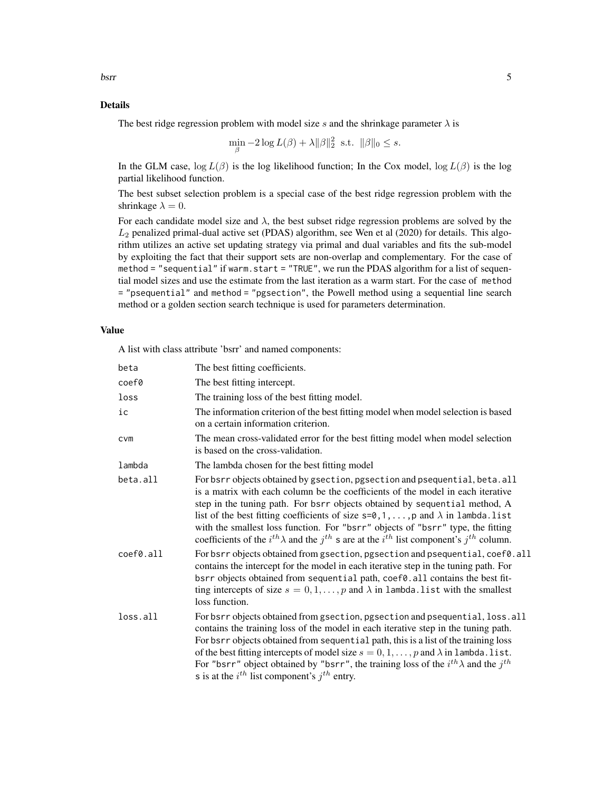#### Details

The best ridge regression problem with model size s and the shrinkage parameter  $\lambda$  is

$$
\min_{\beta} -2\log L(\beta) + \lambda \|\beta\|_2^2 \text{ s.t. } \|\beta\|_0 \leq s.
$$

In the GLM case,  $\log L(\beta)$  is the log likelihood function; In the Cox model,  $\log L(\beta)$  is the log partial likelihood function.

The best subset selection problem is a special case of the best ridge regression problem with the shrinkage  $\lambda = 0$ .

For each candidate model size and  $\lambda$ , the best subset ridge regression problems are solved by the  $L_2$  penalized primal-dual active set (PDAS) algorithm, see Wen et al (2020) for details. This algorithm utilizes an active set updating strategy via primal and dual variables and fits the sub-model by exploiting the fact that their support sets are non-overlap and complementary. For the case of method = "sequential" if warm.start = "TRUE", we run the PDAS algorithm for a list of sequential model sizes and use the estimate from the last iteration as a warm start. For the case of method = "psequential" and method = "pgsection", the Powell method using a sequential line search method or a golden section search technique is used for parameters determination.

#### Value

A list with class attribute 'bsrr' and named components:

| beta      | The best fitting coefficients.                                                                                                                                                                                                                                                                                                                                                                                                                                                                                                                  |
|-----------|-------------------------------------------------------------------------------------------------------------------------------------------------------------------------------------------------------------------------------------------------------------------------------------------------------------------------------------------------------------------------------------------------------------------------------------------------------------------------------------------------------------------------------------------------|
| coef0     | The best fitting intercept.                                                                                                                                                                                                                                                                                                                                                                                                                                                                                                                     |
| loss      | The training loss of the best fitting model.                                                                                                                                                                                                                                                                                                                                                                                                                                                                                                    |
| iс        | The information criterion of the best fitting model when model selection is based<br>on a certain information criterion.                                                                                                                                                                                                                                                                                                                                                                                                                        |
| cvm       | The mean cross-validated error for the best fitting model when model selection<br>is based on the cross-validation.                                                                                                                                                                                                                                                                                                                                                                                                                             |
| lambda    | The lambda chosen for the best fitting model                                                                                                                                                                                                                                                                                                                                                                                                                                                                                                    |
| beta.all  | For bsrr objects obtained by gsection, pgsection and psequential, beta.all<br>is a matrix with each column be the coefficients of the model in each iterative<br>step in the tuning path. For bsrr objects obtained by sequential method, A<br>list of the best fitting coefficients of size $s=0,1,\ldots,p$ and $\lambda$ in lambda. list<br>with the smallest loss function. For "bsrr" objects of "bsrr" type, the fitting<br>coefficients of the $i^{th} \lambda$ and the $j^{th}$ s are at the $i^{th}$ list component's $j^{th}$ column. |
| coef0.all | For bsrr objects obtained from gsection, pgsection and psequential, coef0.all<br>contains the intercept for the model in each iterative step in the tuning path. For<br>bsrr objects obtained from sequential path, coef0.all contains the best fit-<br>ting intercepts of size $s = 0, 1, , p$ and $\lambda$ in lambda. list with the smallest<br>loss function.                                                                                                                                                                               |
| loss.all  | For bsrr objects obtained from gsection, pgsection and psequential, loss. all<br>contains the training loss of the model in each iterative step in the tuning path.<br>For bsrr objects obtained from sequential path, this is a list of the training loss<br>of the best fitting intercepts of model size $s = 0, 1, \dots, p$ and $\lambda$ in lambda. list.<br>For "bsrr" object obtained by "bsrr", the training loss of the $i^{th}\lambda$ and the $j^{th}$<br>s is at the $i^{th}$ list component's $j^{th}$ entry.                      |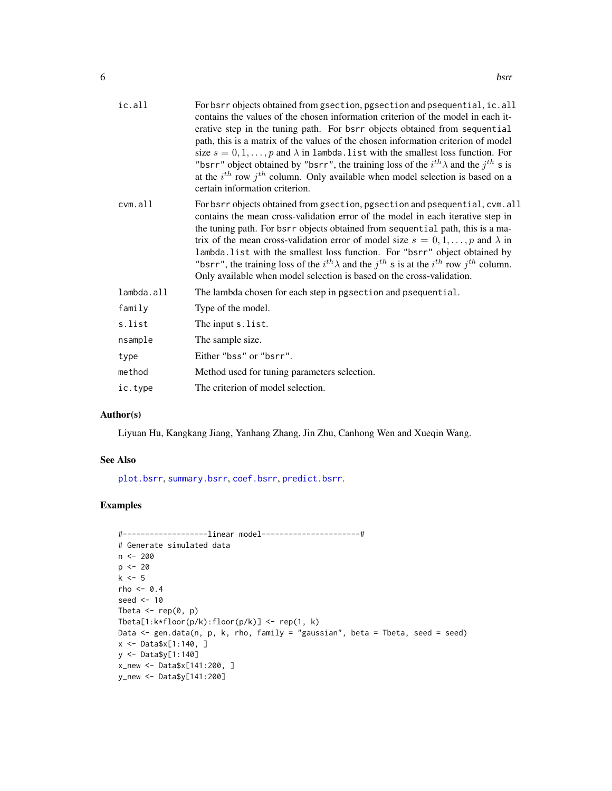<span id="page-5-0"></span>

| ic.all     | For bsrr objects obtained from gsection, pgsection and psequential, ic.all<br>contains the values of the chosen information criterion of the model in each it-<br>erative step in the tuning path. For bsrr objects obtained from sequential<br>path, this is a matrix of the values of the chosen information criterion of model<br>size $s = 0, 1, , p$ and $\lambda$ in lambda. list with the smallest loss function. For<br>"bsrr" object obtained by "bsrr", the training loss of the $i^{th}\lambda$ and the $j^{th}$ s is<br>at the $i^{th}$ row $j^{th}$ column. Only available when model selection is based on a<br>certain information criterion. |
|------------|--------------------------------------------------------------------------------------------------------------------------------------------------------------------------------------------------------------------------------------------------------------------------------------------------------------------------------------------------------------------------------------------------------------------------------------------------------------------------------------------------------------------------------------------------------------------------------------------------------------------------------------------------------------|
| $cvm$ .all | For bsrr objects obtained from gsection, pgsection and psequential, cvm. all<br>contains the mean cross-validation error of the model in each iterative step in<br>the tuning path. For bsrr objects obtained from sequential path, this is a ma-<br>trix of the mean cross-validation error of model size $s = 0, 1, , p$ and $\lambda$ in<br>lambda. list with the smallest loss function. For "bsrr" object obtained by<br>"bsrr", the training loss of the $i^{th} \lambda$ and the $j^{th}$ s is at the $i^{th}$ row $j^{th}$ column.<br>Only available when model selection is based on the cross-validation.                                          |
| lambda.all | The lambda chosen for each step in pgsection and psequential.                                                                                                                                                                                                                                                                                                                                                                                                                                                                                                                                                                                                |
| family     | Type of the model.                                                                                                                                                                                                                                                                                                                                                                                                                                                                                                                                                                                                                                           |
| s.list     | The input s. list.                                                                                                                                                                                                                                                                                                                                                                                                                                                                                                                                                                                                                                           |
| nsample    | The sample size.                                                                                                                                                                                                                                                                                                                                                                                                                                                                                                                                                                                                                                             |
| type       | Either "bss" or "bsrr".                                                                                                                                                                                                                                                                                                                                                                                                                                                                                                                                                                                                                                      |
| method     | Method used for tuning parameters selection.                                                                                                                                                                                                                                                                                                                                                                                                                                                                                                                                                                                                                 |
| ic.type    | The criterion of model selection.                                                                                                                                                                                                                                                                                                                                                                                                                                                                                                                                                                                                                            |

#### Author(s)

Liyuan Hu, Kangkang Jiang, Yanhang Zhang, Jin Zhu, Canhong Wen and Xueqin Wang.

#### See Also

[plot.bsrr](#page-15-1), [summary.bsrr](#page-21-1), [coef.bsrr](#page-7-1), [predict.bsrr](#page-17-1).

```
#-------------------linear model----------------------#
# Generate simulated data
n <- 200
p \le -20k \leq -5rho <-0.4seed <- 10
Tbeta \leq rep(0, p)
Tbeta[1:k*floor(p/k):floor(p/k)] <- rep(1, k)
Data <- gen.data(n, p, k, rho, family = "gaussian", beta = Tbeta, seed = seed)
x <- Data$x[1:140, ]
y <- Data$y[1:140]
x_new <- Data$x[141:200, ]
y_new <- Data$y[141:200]
```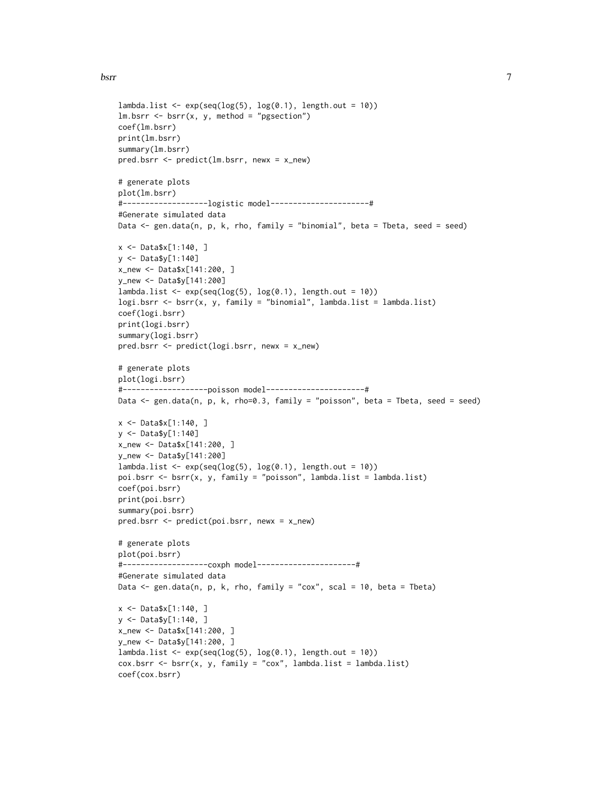#### bsrr 7

```
lambda.list \leq exp(seq(log(5), log(0.1), length.out = 10))
lm.bsrr < -bsrr(x, y, method = "pgsection")coef(lm.bsrr)
print(lm.bsrr)
summary(lm.bsrr)
pred.bsrr <- predict(lm.bsrr, newx = x_new)
# generate plots
plot(lm.bsrr)
#-------------------logistic model----------------------#
#Generate simulated data
Data <- gen.data(n, p, k, rho, family = "binomial", beta = Tbeta, seed = seed)
x <- Data$x[1:140, ]
y <- Data$y[1:140]
x_new <- Data$x[141:200, ]
y_new <- Data$y[141:200]
lambda.list <- exp(seq(log(5), log(0.1), length.out = 10))logi.bsrr <- bsrr(x, y, family = "binomial", lambda.list = lambda.list)
coef(logi.bsrr)
print(logi.bsrr)
summary(logi.bsrr)
pred.bsrr <- predict(logi.bsrr, newx = x_new)
# generate plots
plot(logi.bsrr)
#-------------------poisson model----------------------#
Data <- gen.data(n, p, k, rho=0.3, family = "poisson", beta = Tbeta, seed = seed)
x <- Data$x[1:140, ]
y <- Data$y[1:140]
x_new <- Data$x[141:200, ]
y_new <- Data$y[141:200]
lambda.list \leq exp(seq(log(5), log(0.1), length.out = 10))
poi.bsrr <- bsrr(x, y, family = "poisson", lambda.list = lambda.list)
coef(poi.bsrr)
print(poi.bsrr)
summary(poi.bsrr)
pred.bsrr <- predict(poi.bsrr, newx = x_new)
# generate plots
plot(poi.bsrr)
#-------------------coxph model----------------------#
#Generate simulated data
Data \leq gen.data(n, p, k, rho, family = "cox", scal = 10, beta = Tbeta)
x <- Data$x[1:140, ]
y <- Data$y[1:140, ]
x_new <- Data$x[141:200, ]
y_new <- Data$y[141:200, ]
lambda.list <- exp(seq(log(5), log(0.1), length.out = 10))cox.bsrr \leftarrow bsrr(x, y, family = "cox", lambda_list = lambda_list)coef(cox.bsrr)
```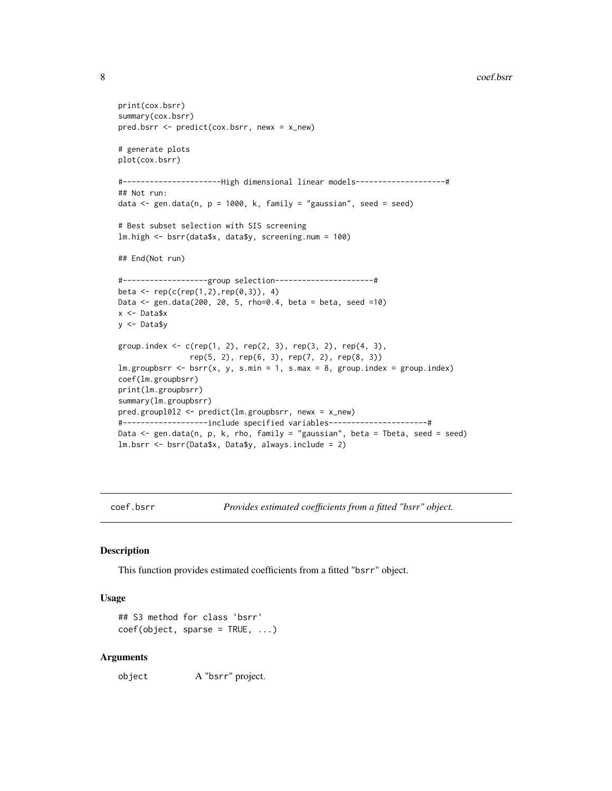```
print(cox.bsrr)
summary(cox.bsrr)
pred.bsrr <- predict(cox.bsrr, newx = x_new)
# generate plots
plot(cox.bsrr)
#----------------------High dimensional linear models--------------------#
## Not run:
data \leq gen.data(n, p = 1000, k, family = "gaussian", seed = seed)
# Best subset selection with SIS screening
lm.high <- bsrr(data$x, data$y, screening.num = 100)
## End(Not run)
#-------------------group selection----------------------#
beta <- rep(c(rep(1,2),rep(0,3)), 4)Data <- gen.data(200, 20, 5, rho=0.4, beta = beta, seed =10)
x <- Data$x
y <- Data$y
group.index <- c(rep(1, 2), rep(2, 3), rep(3, 2), rep(4, 3),
                rep(5, 2), rep(6, 3), rep(7, 2), rep(8, 3))
lm.groupbsrr < -bsrr(x, y, s.min = 1, s.max = 8, group.index = group.index)coef(lm.groupbsrr)
print(lm.groupbsrr)
summary(lm.groupbsrr)
pred.groupl0l2 <- predict(lm.groupbsrr, newx = x_new)
#-------------------include specified variables----------------------#
Data <- gen.data(n, p, k, rho, family = "gaussian", beta = Tbeta, seed = seed)
lm.bsrr <- bsrr(Data$x, Data$y, always.include = 2)
```
<span id="page-7-1"></span>coef.bsrr *Provides estimated coefficients from a fitted "bsrr" object.*

#### Description

This function provides estimated coefficients from a fitted "bsrr" object.

#### Usage

```
## S3 method for class 'bsrr'
coef(object, sparse = TRUE, ...)
```
#### Arguments

object A "bsrr" project.

<span id="page-7-0"></span>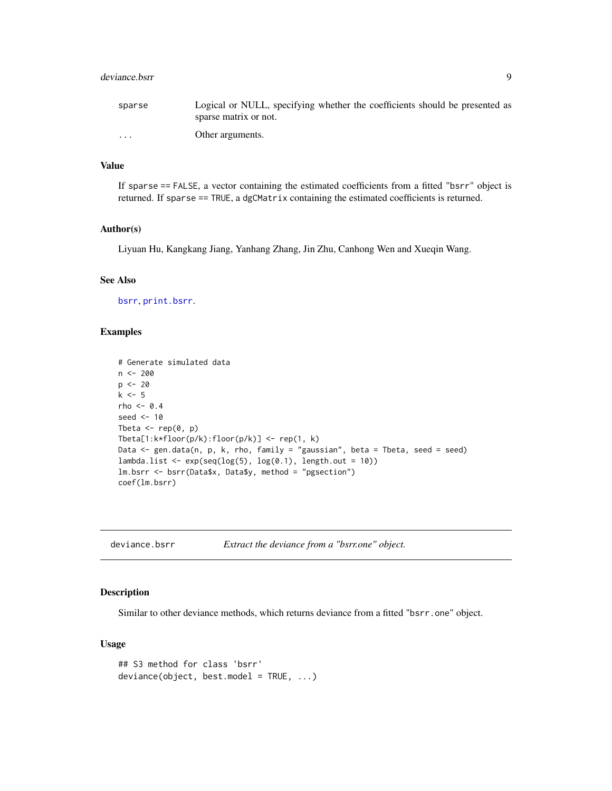#### <span id="page-8-0"></span>deviance.bsrr 9

| sparse   | Logical or NULL, specifying whether the coefficients should be presented as |
|----------|-----------------------------------------------------------------------------|
|          | sparse matrix or not.                                                       |
| $\cdots$ | Other arguments.                                                            |

#### Value

If sparse == FALSE, a vector containing the estimated coefficients from a fitted "bsrr" object is returned. If sparse == TRUE, a dgCMatrix containing the estimated coefficients is returned.

#### Author(s)

Liyuan Hu, Kangkang Jiang, Yanhang Zhang, Jin Zhu, Canhong Wen and Xueqin Wang.

#### See Also

[bsrr](#page-2-1), [print.bsrr](#page-18-1).

#### Examples

```
# Generate simulated data
n < - 200p \le -20k \leq -5rho <- 0.4
seed <- 10
Tbeta \leq rep(0, p)
Tbeta[1:k*floor(p/k):floor(p/k)] <- rep(1, k)
Data <- gen.data(n, p, k, rho, family = "gaussian", beta = Tbeta, seed = seed)
lambda.list \leq exp(seq(log(5), log(0.1), length.out = 10))
lm.bsrr <- bsrr(Data$x, Data$y, method = "pgsection")
coef(lm.bsrr)
```
#### Description

Similar to other deviance methods, which returns deviance from a fitted "bsrr.one" object.

#### Usage

```
## S3 method for class 'bsrr'
deviance(object, best.model = TRUE, ...)
```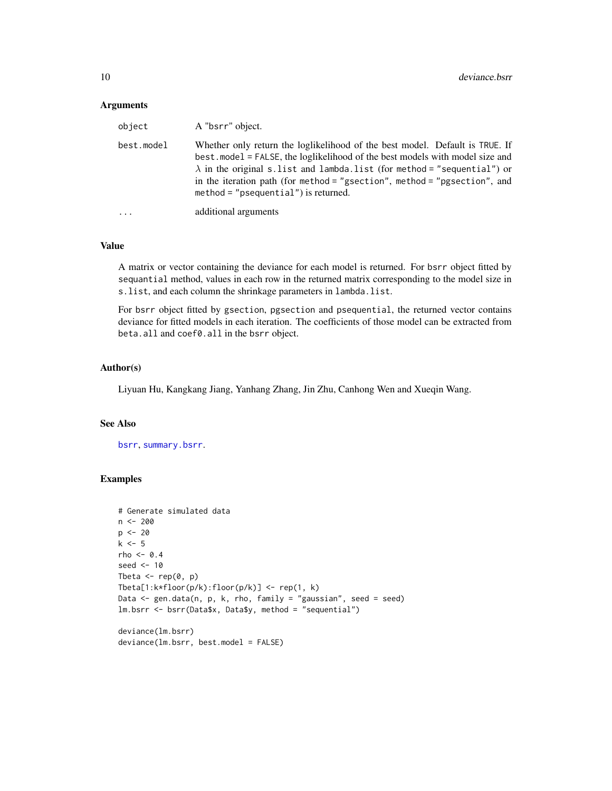#### <span id="page-9-0"></span>Arguments

| object     | A "bsrr" object.                                                                                                                                                                                                                                                                                                                                                        |
|------------|-------------------------------------------------------------------------------------------------------------------------------------------------------------------------------------------------------------------------------------------------------------------------------------------------------------------------------------------------------------------------|
| best.model | Whether only return the loglikelihood of the best model. Default is TRUE. If<br>best. model = FALSE, the loglikelihood of the best models with model size and<br>$\lambda$ in the original s.list and lambda.list (for method = "sequential") or<br>in the iteration path (for method = "gsection", method = "pgsection", and<br>$method = "psequential")$ is returned. |
| $\cdots$   | additional arguments                                                                                                                                                                                                                                                                                                                                                    |

#### Value

A matrix or vector containing the deviance for each model is returned. For bsrr object fitted by sequantial method, values in each row in the returned matrix corresponding to the model size in s.list, and each column the shrinkage parameters in lambda.list.

For bsrr object fitted by gsection, pgsection and psequential, the returned vector contains deviance for fitted models in each iteration. The coefficients of those model can be extracted from beta.all and coef0.all in the bsrr object.

#### Author(s)

Liyuan Hu, Kangkang Jiang, Yanhang Zhang, Jin Zhu, Canhong Wen and Xueqin Wang.

#### See Also

[bsrr](#page-2-1), [summary.bsrr](#page-21-1).

```
# Generate simulated data
n < - 200p \le -20k \leq -5rho <-0.4seed <- 10
Tbeta \leq rep(0, p)
Tbeta[1:k*floor(p/k):floor(p/k)] <- rep(1, k)
Data \leq gen.data(n, p, k, rho, family = "gaussian", seed = seed)
lm.bsrr <- bsrr(Data$x, Data$y, method = "sequential")
deviance(lm.bsrr)
```

```
deviance(lm.bsrr, best.model = FALSE)
```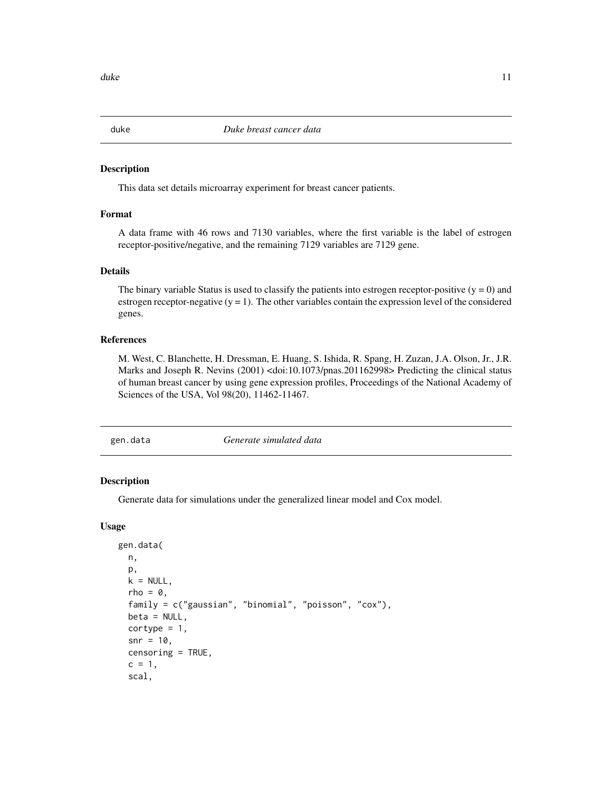This data set details microarray experiment for breast cancer patients.

#### Format

A data frame with 46 rows and 7130 variables, where the first variable is the label of estrogen receptor-positive/negative, and the remaining 7129 variables are 7129 gene.

#### Details

The binary variable Status is used to classify the patients into estrogen receptor-positive  $(y = 0)$  and estrogen receptor-negative  $(y = 1)$ . The other variables contain the expression level of the considered genes.

#### References

M. West, C. Blanchette, H. Dressman, E. Huang, S. Ishida, R. Spang, H. Zuzan, J.A. Olson, Jr., J.R. Marks and Joseph R. Nevins (2001) <doi:10.1073/pnas.201162998> Predicting the clinical status of human breast cancer by using gene expression profiles, Proceedings of the National Academy of Sciences of the USA, Vol 98(20), 11462-11467.

gen.data *Generate simulated data*

#### Description

Generate data for simulations under the generalized linear model and Cox model.

#### Usage

```
gen.data(
 n,
 p,
 k = NULL,rho = 0,
  family = c("gaussian", "binomial", "poisson", "cox"),
 beta = NULL,
  cortype = 1,
  snr = 10,
  censoring = TRUE,
  c = 1,scal,
```
<span id="page-10-0"></span>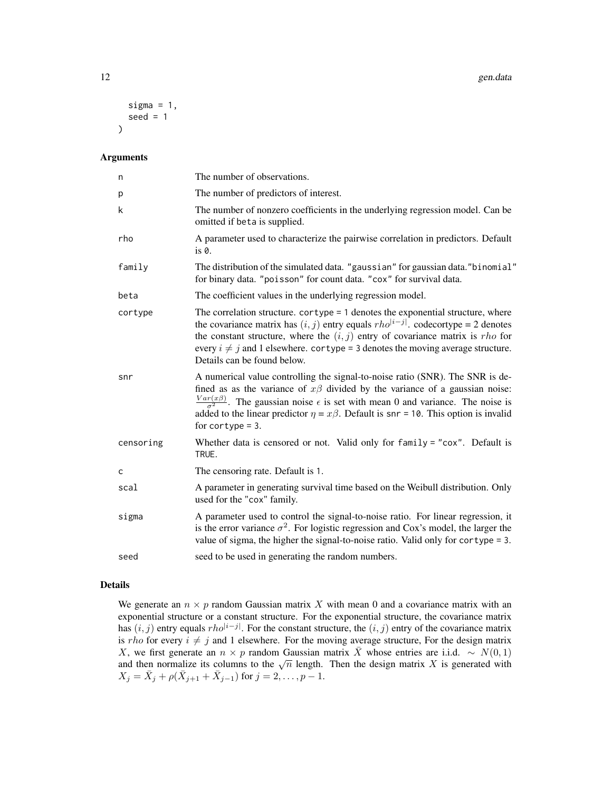12 gen.data

```
sigma = 1,
 seed = 1)
```
#### Arguments

| n         | The number of observations.                                                                                                                                                                                                                                                                                                                                                                             |
|-----------|---------------------------------------------------------------------------------------------------------------------------------------------------------------------------------------------------------------------------------------------------------------------------------------------------------------------------------------------------------------------------------------------------------|
| p         | The number of predictors of interest.                                                                                                                                                                                                                                                                                                                                                                   |
| k         | The number of nonzero coefficients in the underlying regression model. Can be<br>omitted if beta is supplied.                                                                                                                                                                                                                                                                                           |
| rho       | A parameter used to characterize the pairwise correlation in predictors. Default<br>$is \theta$ .                                                                                                                                                                                                                                                                                                       |
| family    | The distribution of the simulated data. "gaussian" for gaussian data."binomial"<br>for binary data. "poisson" for count data. "cox" for survival data.                                                                                                                                                                                                                                                  |
| beta      | The coefficient values in the underlying regression model.                                                                                                                                                                                                                                                                                                                                              |
| cortype   | The correlation structure. $\text{corrype} = 1$ denotes the exponential structure, where<br>the covariance matrix has $(i, j)$ entry equals $rho^{i-j}$ . codecortype = 2 denotes<br>the constant structure, where the $(i, j)$ entry of covariance matrix is <i>rho</i> for<br>every $i \neq j$ and 1 elsewhere. cortype = 3 denotes the moving average structure.<br>Details can be found below.      |
| snr       | A numerical value controlling the signal-to-noise ratio (SNR). The SNR is de-<br>fined as as the variance of $x\beta$ divided by the variance of a gaussian noise:<br>$\frac{Var(x\beta)}{\sigma^2}$ . The gaussian noise $\epsilon$ is set with mean 0 and variance. The noise is<br>added to the linear predictor $\eta = x\beta$ . Default is snr = 10. This option is invalid<br>for cortype $=$ 3. |
| censoring | Whether data is censored or not. Valid only for $family = "cox"$ . Default is<br>TRUE.                                                                                                                                                                                                                                                                                                                  |
| c         | The censoring rate. Default is 1.                                                                                                                                                                                                                                                                                                                                                                       |
| scal      | A parameter in generating survival time based on the Weibull distribution. Only<br>used for the "cox" family.                                                                                                                                                                                                                                                                                           |
| sigma     | A parameter used to control the signal-to-noise ratio. For linear regression, it<br>is the error variance $\sigma^2$ . For logistic regression and Cox's model, the larger the<br>value of sigma, the higher the signal-to-noise ratio. Valid only for cortype $= 3$ .                                                                                                                                  |
| seed      | seed to be used in generating the random numbers.                                                                                                                                                                                                                                                                                                                                                       |

#### Details

We generate an  $n \times p$  random Gaussian matrix X with mean 0 and a covariance matrix with an exponential structure or a constant structure. For the exponential structure, the covariance matrix has  $(i, j)$  entry equals  $rho^{[i-j]}$ . For the constant structure, the  $(i, j)$  entry of the covariance matrix is *rho* for every  $i \neq j$  and 1 elsewhere. For the moving average structure, For the design matrix X, we first generate an  $n \times p$  random Gaussian matrix  $\overline{X}$  whose entries are i.i.d. ~  $N(0, 1)$ A, we first generate an  $n \times p$  random Gaussian matrix A whose entries are firm,  $\sim N(0, 1)$  and then normalize its columns to the  $\sqrt{n}$  length. Then the design matrix X is generated with  $X_j = \bar{X}_j + \rho(\bar{X}_{j+1} + \bar{X}_{j-1})$  for  $j = 2, \ldots, p-1$ .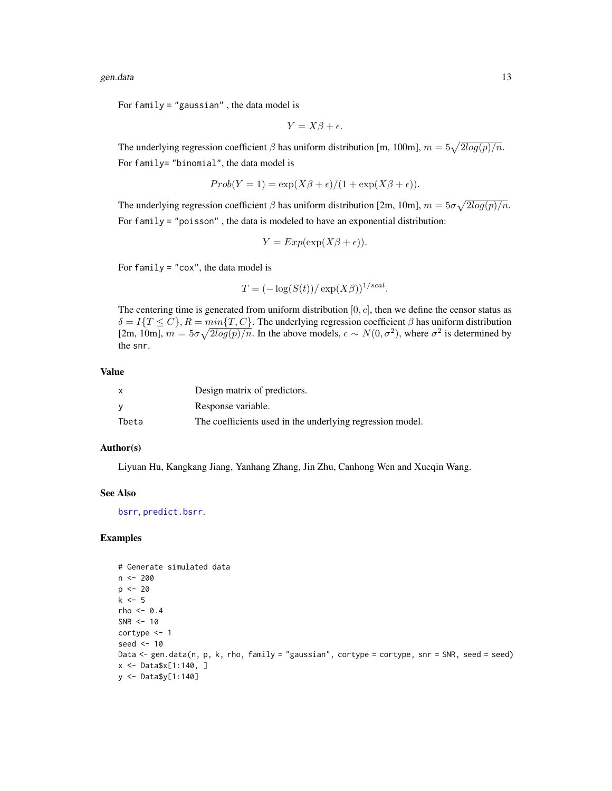<span id="page-12-0"></span>gen.data 13

For family = "gaussian" , the data model is

$$
Y = X\beta + \epsilon.
$$

The underlying regression coefficient  $\beta$  has uniform distribution [m, 100m],  $m = 5\sqrt{2log(p)/n}$ . For family= "binomial", the data model is

$$
Prob(Y = 1) = \exp(X\beta + \epsilon)/(1 + \exp(X\beta + \epsilon)).
$$

The underlying regression coefficient  $\beta$  has uniform distribution [2m, 10m],  $m = 5\sigma\sqrt{2log(p)/n}$ . For family = "poisson" , the data is modeled to have an exponential distribution:

$$
Y = Exp(\exp(X\beta + \epsilon)).
$$

For  $family = "cox",$  the data model is

$$
T = (-\log(S(t))/\exp(X\beta))^{1/scal}.
$$

The centering time is generated from uniform distribution  $[0, c]$ , then we define the censor status as  $\delta = I\{T \leq C\}, R = min\{T, C\}$ . The underlying regression coefficient  $\beta$  has uniform distribution [2m, 10m],  $m = 5\sigma \sqrt{2\log(p)/n}$ . In the above models,  $\epsilon \sim N(0, \sigma^2)$ , where  $\sigma^2$  is determined by the snr.

#### Value

|       | Design matrix of predictors.                              |
|-------|-----------------------------------------------------------|
| ν     | Response variable.                                        |
| Tbeta | The coefficients used in the underlying regression model. |

#### Author(s)

Liyuan Hu, Kangkang Jiang, Yanhang Zhang, Jin Zhu, Canhong Wen and Xueqin Wang.

#### See Also

[bsrr](#page-2-1), [predict.bsrr](#page-17-1).

```
# Generate simulated data
n <- 200
p \le -20k <- 5
rho <-0.4SNR <-10cortype <- 1
seed <- 10
Data <- gen.data(n, p, k, rho, family = "gaussian", cortype = cortype, snr = SNR, seed = seed)
x <- Data$x[1:140, ]
y <- Data$y[1:140]
```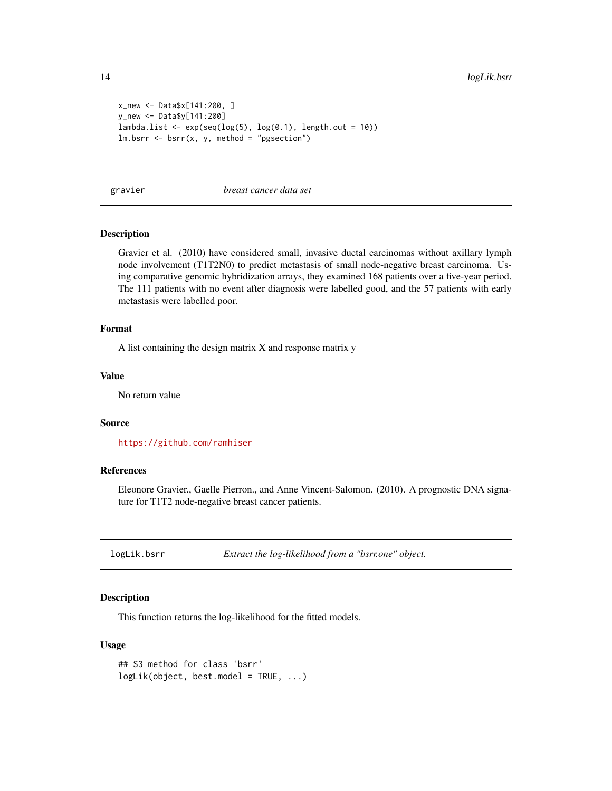```
x_new <- Data$x[141:200, ]
y_new <- Data$y[141:200]
lambda.list \leq exp(seq(log(5), log(0.1), length.out = 10))
lm.bsrr < -bsrr(x, y, method = "pgsection")
```
gravier *breast cancer data set*

#### Description

Gravier et al. (2010) have considered small, invasive ductal carcinomas without axillary lymph node involvement (T1T2N0) to predict metastasis of small node-negative breast carcinoma. Using comparative genomic hybridization arrays, they examined 168 patients over a five-year period. The 111 patients with no event after diagnosis were labelled good, and the 57 patients with early metastasis were labelled poor.

#### Format

A list containing the design matrix X and response matrix y

#### Value

No return value

#### Source

<https://github.com/ramhiser>

#### References

Eleonore Gravier., Gaelle Pierron., and Anne Vincent-Salomon. (2010). A prognostic DNA signature for T1T2 node-negative breast cancer patients.

logLik.bsrr *Extract the log-likelihood from a "bsrr.one" object.*

#### Description

This function returns the log-likelihood for the fitted models.

#### Usage

```
## S3 method for class 'bsrr'
logLik(object, best.model = TRUE, ...)
```
<span id="page-13-0"></span>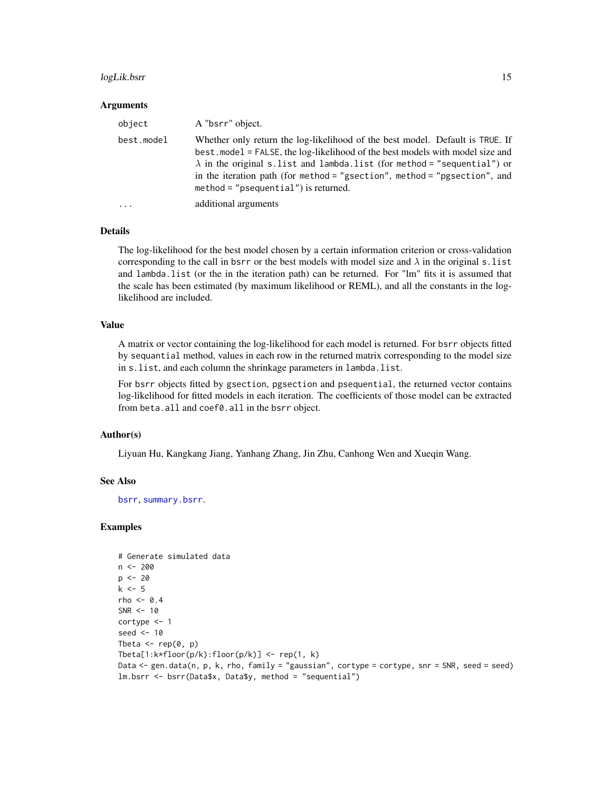#### <span id="page-14-0"></span>logLik.bsrr 15

#### Arguments

| object     | A "bsrr" object.                                                                                                                                                                                                                                                                                                                                                          |
|------------|---------------------------------------------------------------------------------------------------------------------------------------------------------------------------------------------------------------------------------------------------------------------------------------------------------------------------------------------------------------------------|
| best.model | Whether only return the log-likelihood of the best model. Default is TRUE. If<br>best. model = FALSE, the log-likelihood of the best models with model size and<br>$\lambda$ in the original s.list and lambda.list (for method = "sequential") or<br>in the iteration path (for method = "gsection", method = "pgsection", and<br>$method = "psequential")$ is returned. |
| $\ddotsc$  | additional arguments                                                                                                                                                                                                                                                                                                                                                      |

#### Details

The log-likelihood for the best model chosen by a certain information criterion or cross-validation corresponding to the call in bsrr or the best models with model size and  $\lambda$  in the original s. list and lambda.list (or the in the iteration path) can be returned. For "lm" fits it is assumed that the scale has been estimated (by maximum likelihood or REML), and all the constants in the loglikelihood are included.

#### Value

A matrix or vector containing the log-likelihood for each model is returned. For bsrr objects fitted by sequantial method, values in each row in the returned matrix corresponding to the model size in s.list, and each column the shrinkage parameters in lambda.list.

For bsrr objects fitted by gsection, pgsection and psequential, the returned vector contains log-likelihood for fitted models in each iteration. The coefficients of those model can be extracted from beta.all and coef0.all in the bsrr object.

#### Author(s)

Liyuan Hu, Kangkang Jiang, Yanhang Zhang, Jin Zhu, Canhong Wen and Xueqin Wang.

#### See Also

[bsrr](#page-2-1), [summary.bsrr](#page-21-1).

```
# Generate simulated data
n <- 200
p \le -20k \leq -5rho <-0.4SNR < -10cortype <- 1
seed <- 10
Tbeta \leq rep(0, p)
Tbeta[1:k*floor(p/k):floor(p/k)] <- rep(1, k)
Data <- gen.data(n, p, k, rho, family = "gaussian", cortype = cortype, snr = SNR, seed = seed)
lm.bsrr <- bsrr(Data$x, Data$y, method = "sequential")
```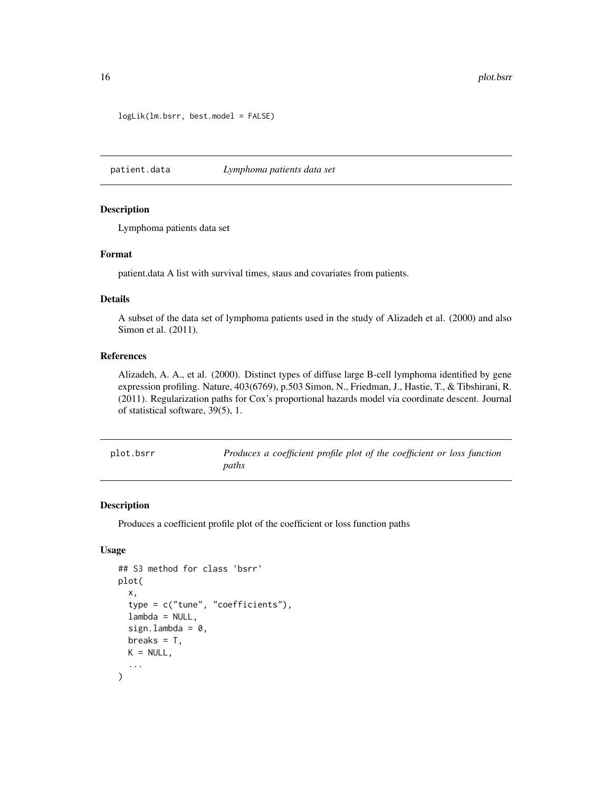```
logLik(lm.bsrr, best.model = FALSE)
```
patient.data *Lymphoma patients data set*

#### Description

Lymphoma patients data set

#### Format

patient.data A list with survival times, staus and covariates from patients.

#### Details

A subset of the data set of lymphoma patients used in the study of Alizadeh et al. (2000) and also Simon et al. (2011).

#### References

Alizadeh, A. A., et al. (2000). Distinct types of diffuse large B-cell lymphoma identified by gene expression profiling. Nature, 403(6769), p.503 Simon, N., Friedman, J., Hastie, T., & Tibshirani, R. (2011). Regularization paths for Cox's proportional hazards model via coordinate descent. Journal of statistical software, 39(5), 1.

<span id="page-15-1"></span>

| plot.bsrr |
|-----------|
|-----------|

Produces a coefficient profile plot of the coefficient or loss function *paths*

#### Description

Produces a coefficient profile plot of the coefficient or loss function paths

#### Usage

```
## S3 method for class 'bsrr'
plot(
  x,
  type = c("tune", "coefficients"),
  lambda = NULL,
  sign.lambda = 0,
 breaks = T,
 K = NULL,...
)
```
<span id="page-15-0"></span>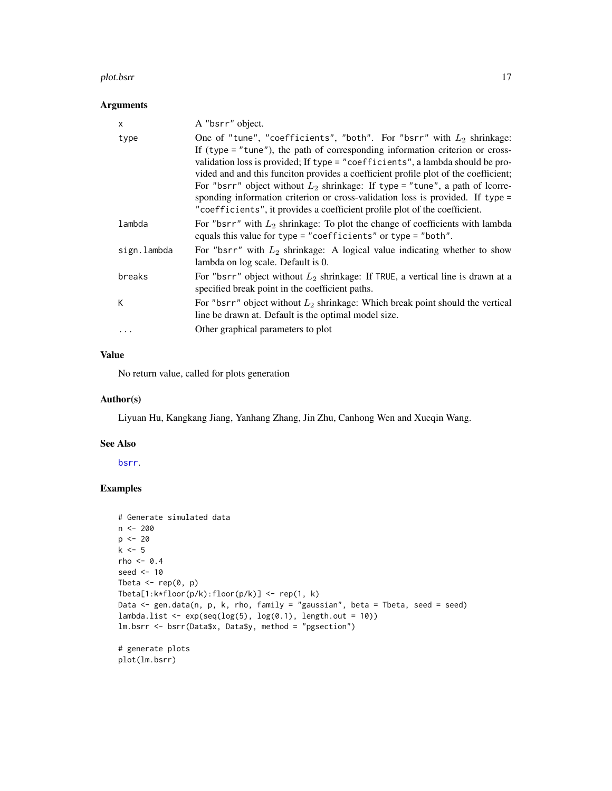#### <span id="page-16-0"></span>plot.bsrr 17

#### Arguments

| $\times$    | A "bsrr" object.                                                                                                                                                                                                                                                                                                                                                                                                                                                                                                                                                                      |
|-------------|---------------------------------------------------------------------------------------------------------------------------------------------------------------------------------------------------------------------------------------------------------------------------------------------------------------------------------------------------------------------------------------------------------------------------------------------------------------------------------------------------------------------------------------------------------------------------------------|
| type        | One of "tune", "coefficients", "both". For "bsrr" with $L_2$ shrinkage:<br>If (type $=$ "tune"), the path of corresponding information criterion or cross-<br>validation loss is provided; If type = "coefficients", a lambda should be pro-<br>vided and and this funciton provides a coefficient profile plot of the coefficient;<br>For "bsrr" object without $L_2$ shrinkage: If type = "tune", a path of lcorre-<br>sponding information criterion or cross-validation loss is provided. If type =<br>"coefficients", it provides a coefficient profile plot of the coefficient. |
| lambda      | For "bsrr" with $L_2$ shrinkage: To plot the change of coefficients with lambda<br>equals this value for type = "coefficients" or type = "both".                                                                                                                                                                                                                                                                                                                                                                                                                                      |
| sign.lambda | For "bsrr" with $L_2$ shrinkage: A logical value indicating whether to show<br>lambda on log scale. Default is 0.                                                                                                                                                                                                                                                                                                                                                                                                                                                                     |
| breaks      | For "bsrr" object without $L_2$ shrinkage: If TRUE, a vertical line is drawn at a<br>specified break point in the coefficient paths.                                                                                                                                                                                                                                                                                                                                                                                                                                                  |
| К           | For "bsrr" object without $L_2$ shrinkage: Which break point should the vertical<br>line be drawn at. Default is the optimal model size.                                                                                                                                                                                                                                                                                                                                                                                                                                              |
| $\cdots$    | Other graphical parameters to plot                                                                                                                                                                                                                                                                                                                                                                                                                                                                                                                                                    |
|             |                                                                                                                                                                                                                                                                                                                                                                                                                                                                                                                                                                                       |

#### Value

No return value, called for plots generation

#### Author(s)

Liyuan Hu, Kangkang Jiang, Yanhang Zhang, Jin Zhu, Canhong Wen and Xueqin Wang.

#### See Also

[bsrr](#page-2-1).

```
# Generate simulated data
n < - 200p <- 20
k <- 5
rho <-0.4seed <- 10
Tbeta \leq rep(0, p)
Tbeta[1:k*floor(p/k):floor(p/k)] <- rep(1, k)
Data <- gen.data(n, p, k, rho, family = "gaussian", beta = Tbeta, seed = seed)
lambda.list <- exp(seq(log(5), log(0.1), length.out = 10))lm.bsrr <- bsrr(Data$x, Data$y, method = "pgsection")
# generate plots
plot(lm.bsrr)
```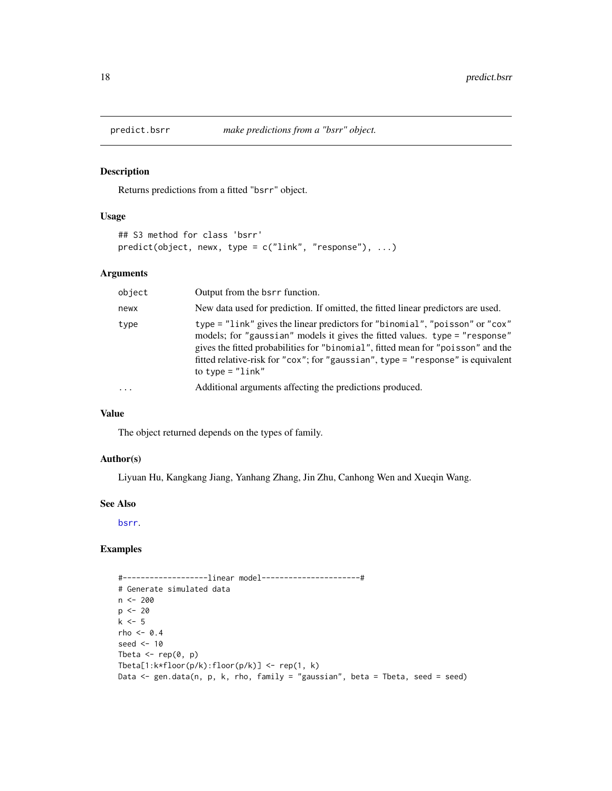<span id="page-17-1"></span><span id="page-17-0"></span>

Returns predictions from a fitted "bsrr" object.

#### Usage

```
## S3 method for class 'bsrr'
predict(object, newx, type = c("link", "response"), ...)
```
#### Arguments

| object    | Output from the bsrr function.                                                                                                                                                                                                                                                                                                                           |
|-----------|----------------------------------------------------------------------------------------------------------------------------------------------------------------------------------------------------------------------------------------------------------------------------------------------------------------------------------------------------------|
| newx      | New data used for prediction. If omitted, the fitted linear predictors are used.                                                                                                                                                                                                                                                                         |
| type      | type = "link" gives the linear predictors for "binomial", "poisson" or "cox"<br>models; for "gaussian" models it gives the fitted values. type = "response"<br>gives the fitted probabilities for "binomial", fitted mean for "poisson" and the<br>fitted relative-risk for "cox"; for "gaussian", type = "response" is equivalent<br>to type = $"link"$ |
| $\ddotsc$ | Additional arguments affecting the predictions produced.                                                                                                                                                                                                                                                                                                 |

#### Value

The object returned depends on the types of family.

#### Author(s)

Liyuan Hu, Kangkang Jiang, Yanhang Zhang, Jin Zhu, Canhong Wen and Xueqin Wang.

#### See Also

[bsrr](#page-2-1).

```
#-------------------linear model----------------------#
# Generate simulated data
n <- 200
p \le -20k \le -5rho <-0.4seed <- 10
Tbeta \leq rep(0, p)
Tbeta[1:k*floor(p/k):floor(p/k)] <- rep(1, k)
Data <- gen.data(n, p, k, rho, family = "gaussian", beta = Tbeta, seed = seed)
```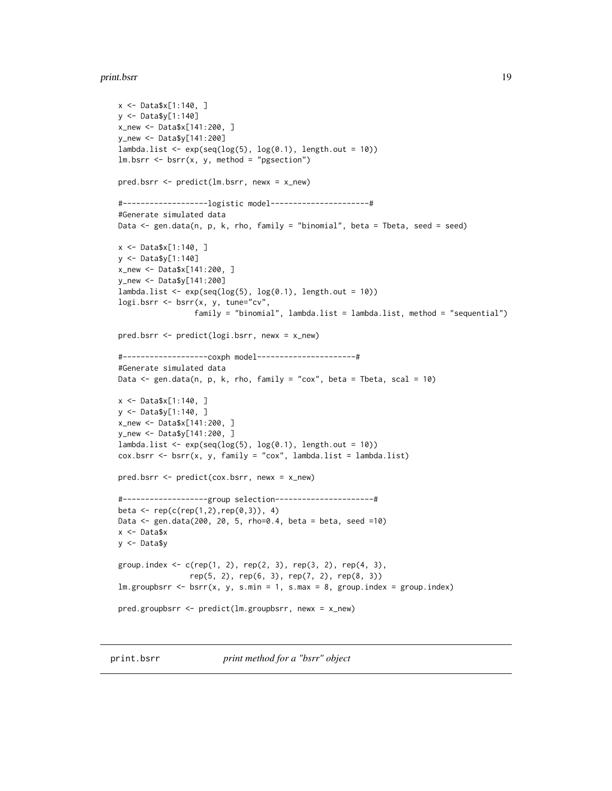#### <span id="page-18-0"></span>print.bsrr 19

```
x <- Data$x[1:140, ]
y <- Data$y[1:140]
x_new <- Data$x[141:200, ]
y_new <- Data$y[141:200]
lambda.list <- exp(seq(log(5), log(0.1), length.out = 10))lm.bsrr < -bsrr(x, y, method = "pgsection")pred.bsrr <- predict(lm.bsrr, newx = x_new)
#-------------------logistic model----------------------#
#Generate simulated data
Data <- gen.data(n, p, k, rho, family = "binomial", beta = Tbeta, seed = seed)
x <- Data$x[1:140, ]
y <- Data$y[1:140]
x_new <- Data$x[141:200, ]
y_new <- Data$y[141:200]
lambda.list <- exp(seq(log(5), log(0.1), length.out = 10))logi.bsrr <- bsrr(x, y, tune="cv",
                 family = "binomial", lambda.list = lambda.list, method = "sequential")
pred.bsrr <- predict(logi.bsrr, newx = x_new)
#-------------------coxph model----------------------#
#Generate simulated data
Data \leq gen.data(n, p, k, rho, family = "cox", beta = Tbeta, scal = 10)
x <- Data$x[1:140, ]
y <- Data$y[1:140, ]
x_new <- Data$x[141:200, ]
y_new <- Data$y[141:200, ]
lambda.list <- exp(seq(log(5), log(0.1), length.out = 10))cox.bsrr \leftarrow bsrr(x, y, family = "cox", lambda_list = lambda_list)pred.bsrr <- predict(cox.bsrr, newx = x_new)
#-------------------group selection----------------------#
beta <- rep(c(rep(1,2),rep(0,3)), 4)Data <- gen.data(200, 20, 5, rho=0.4, beta = beta, seed =10)
x <- Data$x
y <- Data$y
group.index <- c(rep(1, 2), rep(2, 3), rep(3, 2), rep(4, 3),
                rep(5, 2), rep(6, 3), rep(7, 2), rep(8, 3))
lm.groupbsrr < -bsrr(x, y, s.min = 1, s.max = 8, group.index = group.index)pred.groupbsrr <- predict(lm.groupbsrr, newx = x_new)
```
<span id="page-18-1"></span>print.bsrr *print method for a "bsrr" object*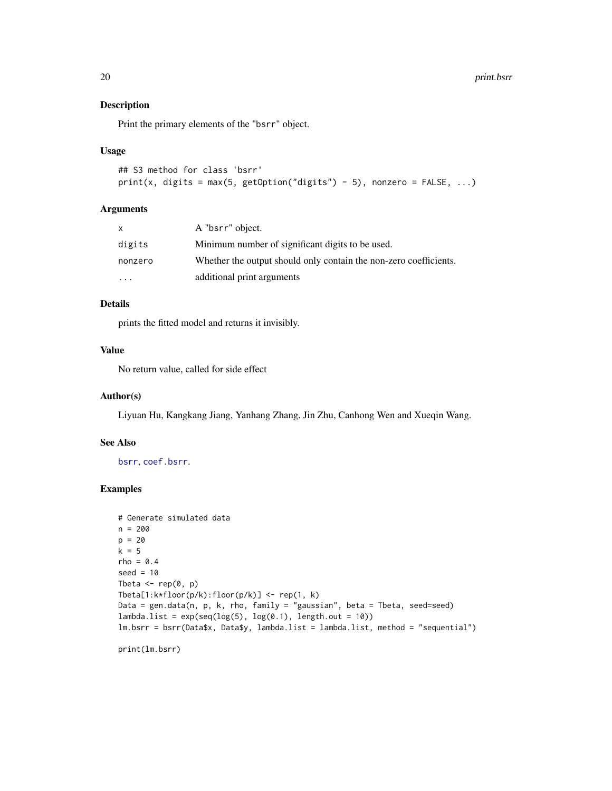Print the primary elements of the "bsrr" object.

#### Usage

```
## S3 method for class 'bsrr'
print(x, \text{ digits} = \text{max}(5, \text{ getOption("digits") - 5), nonzero = FALSE, ...})
```
#### Arguments

| x       | A "bsrr" object.                                                  |
|---------|-------------------------------------------------------------------|
| digits  | Minimum number of significant digits to be used.                  |
| nonzero | Whether the output should only contain the non-zero coefficients. |
| $\cdot$ | additional print arguments                                        |

#### Details

prints the fitted model and returns it invisibly.

#### Value

No return value, called for side effect

#### Author(s)

Liyuan Hu, Kangkang Jiang, Yanhang Zhang, Jin Zhu, Canhong Wen and Xueqin Wang.

#### See Also

[bsrr](#page-2-1), [coef.bsrr](#page-7-1).

#### Examples

```
# Generate simulated data
n = 200
p = 20k = 5rho = 0.4seed = 10Tbeta \leq rep(0, p)
Tbeta[1:k*floor(p/k):floor(p/k)] <- rep(1, k)
Data = gen.data(n, p, k, rho, family = "gaussian", beta = Tbeta, seed=seed)
lambda.list = exp(seq(log(5), log(0.1), length.out = 10))lm.bsrr = bsrr(Data$x, Data$y, lambda.list = lambda.list, method = "sequential")
```
print(lm.bsrr)

<span id="page-19-0"></span>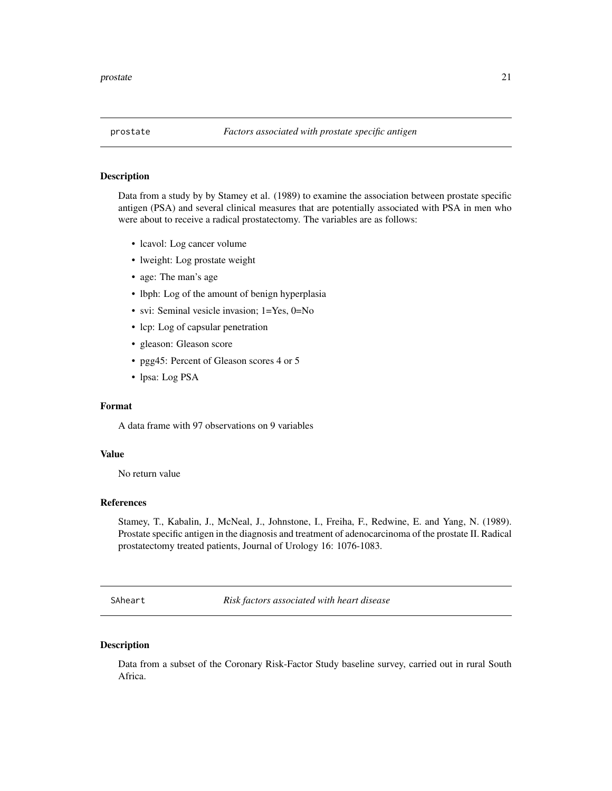<span id="page-20-0"></span>

Data from a study by by Stamey et al. (1989) to examine the association between prostate specific antigen (PSA) and several clinical measures that are potentially associated with PSA in men who were about to receive a radical prostatectomy. The variables are as follows:

- lcavol: Log cancer volume
- lweight: Log prostate weight
- age: The man's age
- lbph: Log of the amount of benign hyperplasia
- svi: Seminal vesicle invasion; 1=Yes, 0=No
- lcp: Log of capsular penetration
- gleason: Gleason score
- pgg45: Percent of Gleason scores 4 or 5
- lpsa: Log PSA

#### Format

A data frame with 97 observations on 9 variables

#### Value

No return value

#### References

Stamey, T., Kabalin, J., McNeal, J., Johnstone, I., Freiha, F., Redwine, E. and Yang, N. (1989). Prostate specific antigen in the diagnosis and treatment of adenocarcinoma of the prostate II. Radical prostatectomy treated patients, Journal of Urology 16: 1076-1083.

SAheart *Risk factors associated with heart disease*

#### Description

Data from a subset of the Coronary Risk-Factor Study baseline survey, carried out in rural South Africa.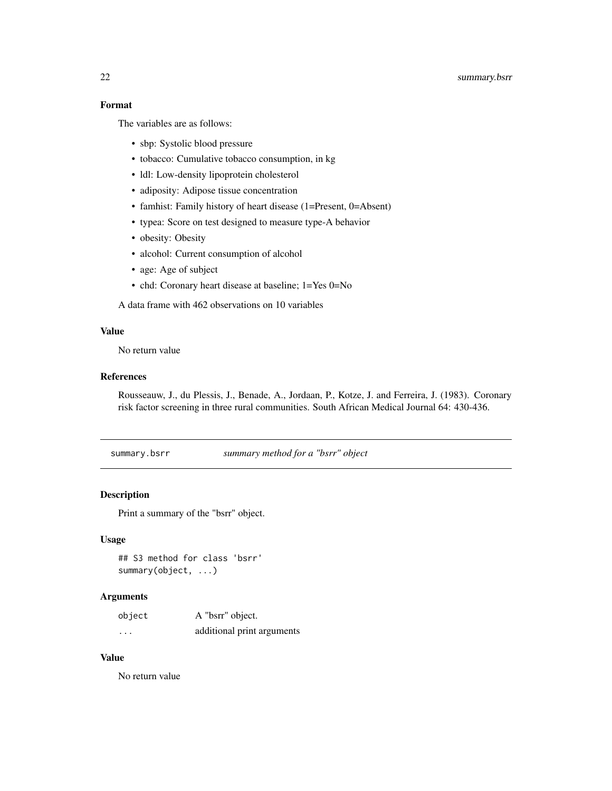#### <span id="page-21-0"></span>Format

The variables are as follows:

- sbp: Systolic blood pressure
- tobacco: Cumulative tobacco consumption, in kg
- ldl: Low-density lipoprotein cholesterol
- adiposity: Adipose tissue concentration
- famhist: Family history of heart disease (1=Present, 0=Absent)
- typea: Score on test designed to measure type-A behavior
- obesity: Obesity
- alcohol: Current consumption of alcohol
- age: Age of subject
- chd: Coronary heart disease at baseline; 1=Yes 0=No

A data frame with 462 observations on 10 variables

#### Value

No return value

#### References

Rousseauw, J., du Plessis, J., Benade, A., Jordaan, P., Kotze, J. and Ferreira, J. (1983). Coronary risk factor screening in three rural communities. South African Medical Journal 64: 430-436.

<span id="page-21-1"></span>summary.bsrr *summary method for a "bsrr" object*

#### Description

Print a summary of the "bsrr" object.

#### Usage

## S3 method for class 'bsrr' summary(object, ...)

#### Arguments

| object  | A "bsrr" object.           |
|---------|----------------------------|
| $\cdot$ | additional print arguments |

#### Value

No return value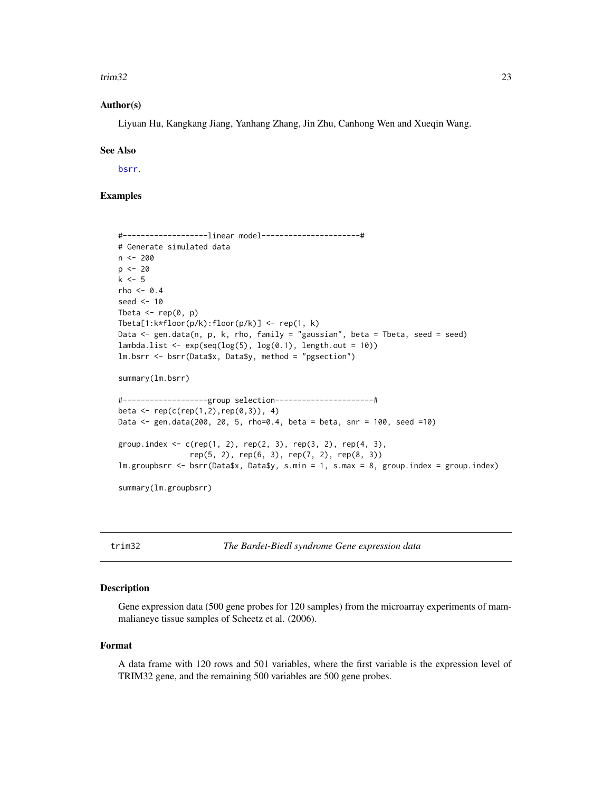#### <span id="page-22-0"></span> $\text{trim}32 \hspace{1.5cm} \text{23}$

#### Author(s)

Liyuan Hu, Kangkang Jiang, Yanhang Zhang, Jin Zhu, Canhong Wen and Xueqin Wang.

#### See Also

[bsrr](#page-2-1).

#### Examples

```
#-------------------linear model----------------------#
# Generate simulated data
n <- 200
p \le -20k \leq -5rho <- 0.4
seed <- 10
Tbeta \leq rep(0, p)
Tbeta[1:k*floor(p/k):floor(p/k)] <- rep(1, k)
Data <- gen.data(n, p, k, rho, family = "gaussian", beta = Tbeta, seed = seed)
lambda.list \leq exp(seq(log(5), log(0.1), length.out = 10))
lm.bsrr <- bsrr(Data$x, Data$y, method = "pgsection")
summary(lm.bsrr)
#-------------------group selection----------------------#
beta <- rep(c(rep(1,2),rep(0,3)), 4)Data <- gen.data(200, 20, 5, rho=0.4, beta = beta, snr = 100, seed =10)
group.index <- c(rep(1, 2), rep(2, 3), rep(3, 2), rep(4, 3),rep(5, 2), rep(6, 3), rep(7, 2), rep(8, 3))
lm.groupbsrr <- bsrr(Data$x, Data$y, s.min = 1, s.max = 8, group.index = group.index)
summary(lm.groupbsrr)
```
trim32 *The Bardet-Biedl syndrome Gene expression data*

#### Description

Gene expression data (500 gene probes for 120 samples) from the microarray experiments of mammalianeye tissue samples of Scheetz et al. (2006).

#### Format

A data frame with 120 rows and 501 variables, where the first variable is the expression level of TRIM32 gene, and the remaining 500 variables are 500 gene probes.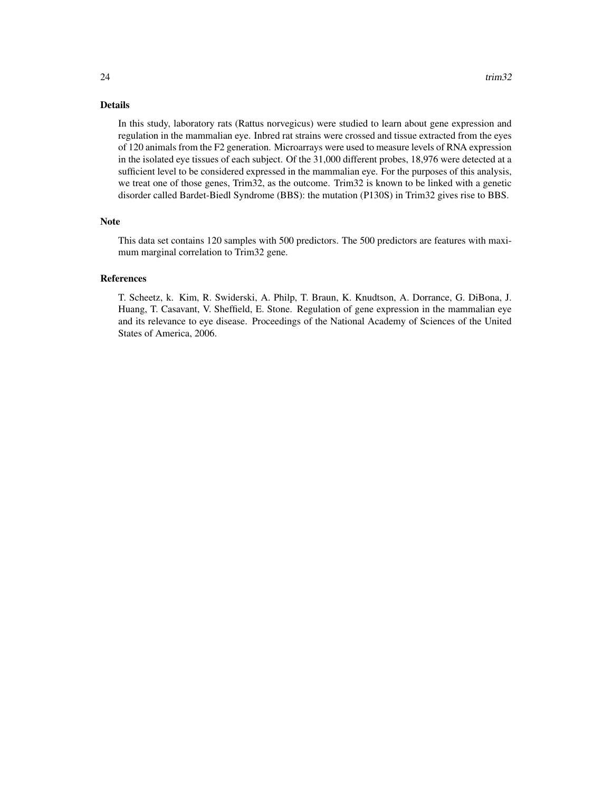#### Details

In this study, laboratory rats (Rattus norvegicus) were studied to learn about gene expression and regulation in the mammalian eye. Inbred rat strains were crossed and tissue extracted from the eyes of 120 animals from the F2 generation. Microarrays were used to measure levels of RNA expression in the isolated eye tissues of each subject. Of the 31,000 different probes, 18,976 were detected at a sufficient level to be considered expressed in the mammalian eye. For the purposes of this analysis, we treat one of those genes, Trim32, as the outcome. Trim32 is known to be linked with a genetic disorder called Bardet-Biedl Syndrome (BBS): the mutation (P130S) in Trim32 gives rise to BBS.

#### Note

This data set contains 120 samples with 500 predictors. The 500 predictors are features with maximum marginal correlation to Trim32 gene.

#### References

T. Scheetz, k. Kim, R. Swiderski, A. Philp, T. Braun, K. Knudtson, A. Dorrance, G. DiBona, J. Huang, T. Casavant, V. Sheffield, E. Stone. Regulation of gene expression in the mammalian eye and its relevance to eye disease. Proceedings of the National Academy of Sciences of the United States of America, 2006.